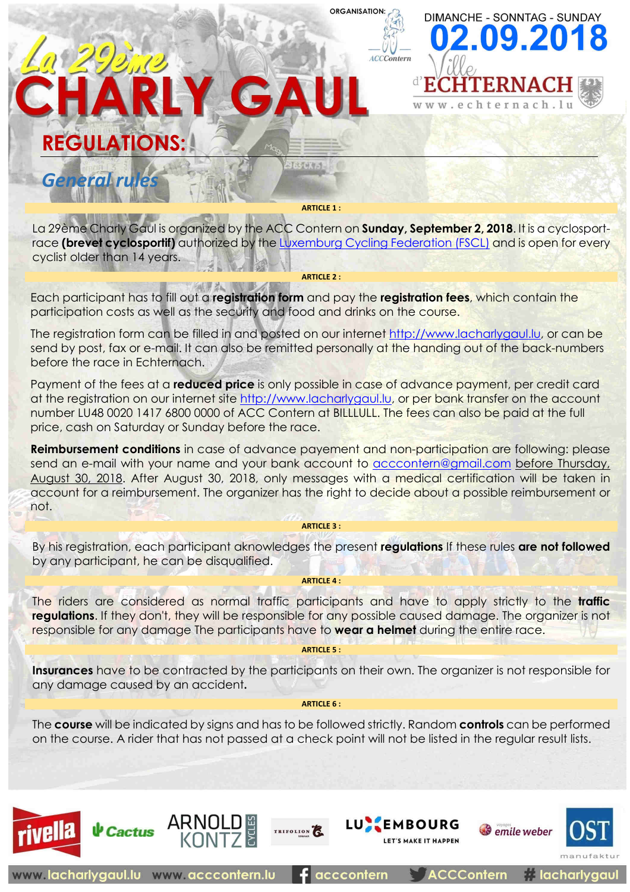# CHARLY GAU **REGULATIONS:** ■【注意研究』 *General rules*

**ARTICLE 1 :**

**ORGANISATION** 

**ACCContern** 

**DIMANCHE - SONNTAG - SUNDAY** 2.09.20

echternach.

La 29ème Charly Gaul is organized by the ACC Contern on **Sunday, September 2, 2018**. It is a cyclosportrace **(brevet cyclosportif)** authorized by the Luxemburg Cycling Federation (FSCL) and is open for every cyclist older than 14 years.

**ARTICLE 2 :**

Each participant has to fill out a **registration form** and pay the **registration fees**, which contain the participation costs as well as the security and food and drinks on the course.

The registration form can be filled in and posted on our internet http://www.lacharlygaul.lu, or can be send by post, fax or e-mail. It can also be remitted personally at the handing out of the back-numbers before the race in Echternach.

Payment of the fees at a **reduced price** is only possible in case of advance payment, per credit card at the registration on our internet site http://www.lacharlygaul.lu, or per bank transfer on the account number LU48 0020 1417 6800 0000 of ACC Contern at BILLLULL. The fees can also be paid at the full price, cash on Saturday or Sunday before the race.

**Reimbursement conditions** in case of advance payement and non-participation are following: please send an e-mail with your name and your bank account to acccontern@gmail.com before Thursday, August 30, 2018. After August 30, 2018, only messages with a medical certification will be taken in account for a reimbursement. The organizer has the right to decide about a possible reimbursement or not.

#### **ARTICLE 3 :**

By his registration, each participant aknowledges the present **regulations** If these rules **are not followed** by any participant, he can be disqualified.

#### **ARTICLE 4 :**

The riders are considered as normal traffic participants and have to apply strictly to the **traffic regulations**. If they don't, they will be responsible for any possible caused damage. The organizer is not responsible for any damage The participants have to **wear a helmet** during the entire race.

#### **ARTICLE 5 :**

**Insurances** have to be contracted by the participants on their own. The organizer is not responsible for any damage caused by an accident**.**

#### **ARTICLE 6 :**

The **course** will be indicated by signs and has to be followed strictly. Random **controls** can be performed on the course. A rider that has not passed at a check point will not be listed in the regular result lists.

acccontern

TRIFOLION

**LUX EMBOURG** 

LET'S MAKE IT HAPPEN

**ACCContern** 

ARNOLD

 $\psi$  Cactus

www.lacharlygaul.lu www.acccontern.lu





**A** lacharlygaul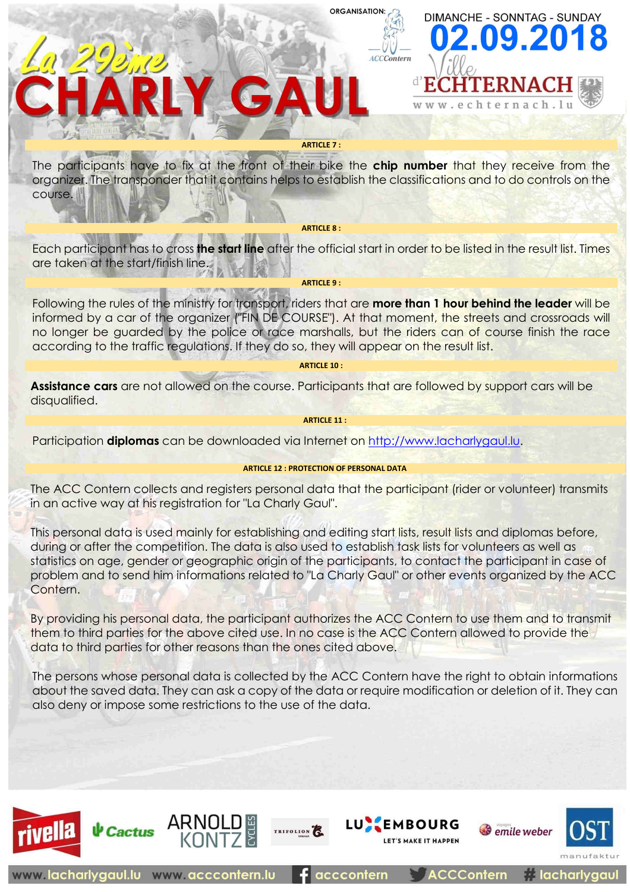### **ORGANISATION**

**ACCContern** 

**DIMANCHE - SONNTAG - SUNDAY** 

 $2.09.2$ 



HARLY GAU

ARNOL

**↓** Cactus

www.lacharlygaul.lu www.acccontern.lu

The participants have to fix at the front of their bike the **chip number** that they receive from the organizer. The transponder that it contains helps to establish the classifications and to do controls on the course.

**ARTICLE 8 :**

Each participant has to cross **the start line** after the official start in order to be listed in the result list. Times are taken at the start/finish line.

**ARTICLE 9 :**

Following the rules of the ministry for transport, riders that are **more than 1 hour behind the leader** will be informed by a car of the organizer ("FIN DE COURSE"). At that moment, the streets and crossroads will no longer be guarded by the police or race marshalls, but the riders can of course finish the race according to the traffic regulations. If they do so, they will appear on the result list.

**ARTICLE 10 :**

**Assistance cars** are not allowed on the course. Participants that are followed by support cars will be disqualified.

**ARTICLE 11 :**

Participation **diplomas** can be downloaded via Internet on http://www.lacharlygaul.lu.

#### **ARTICLE 12 : PROTECTION OF PERSONAL DATA**

The ACC Contern collects and registers personal data that the participant (rider or volunteer) transmits in an active way at his registration for "La Charly Gaul".

This personal data is used mainly for establishing and editing start lists, result lists and diplomas before, during or after the competition. The data is also used to establish task lists for volunteers as well as statistics on age, gender or geographic origin of the participants, to contact the participant in case of problem and to send him informations related to "La Charly Gaul" or other events organized by the ACC Contern.

By providing his personal data, the participant authorizes the ACC Contern to use them and to transmit them to third parties for the above cited use. In no case is the ACC Contern allowed to provide the data to third parties for other reasons than the ones cited above.

The persons whose personal data is collected by the ACC Contern have the right to obtain informations about the saved data. They can ask a copy of the data or require modification or deletion of it. They can also deny or impose some restrictions to the use of the data.

TRIFOLION

**LU EMBOURG** 

acccontern

LET'S MAKE IT HAPPEN

**ACCContern** 

emile weber

**A** lacharlygaul

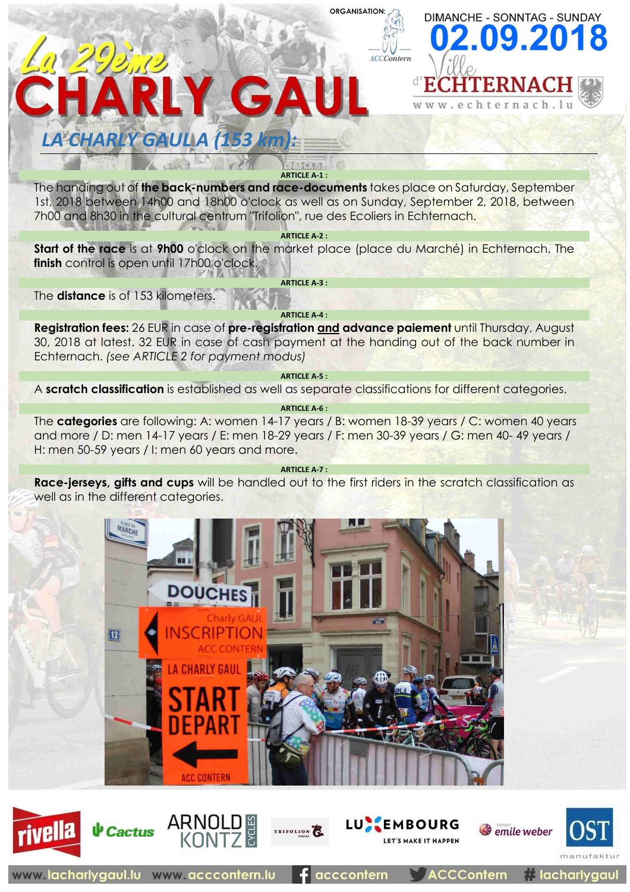#### **ORGANISATION:**



.echternach.

## *LA CHARLY GAUL A (153 km):*

CHARLY GAUL

0 299,19

**ARTICLE A-1 :**

The handing out of **the back-numbers and race-documents** takes place on Saturday, September 1st, 2018 between 14h00 and 18h00 o'clock as well as on Sunday, September 2, 2018, between 7h00 and 8h30 in the cultural centrum "Trifolion", rue des Ecoliers in Echternach.

**ARTICLE A-2 :**

**Start of the race** is at **9h00** o'clock on the market place (place du Marché) in Echternach. The **finish** control is open until 17h00 o'clock.

**ARTICLE A-3 :**

The **distance** is of 153 kilometers.

**ARTICLE A-4 :**

**Registration fees:** 26 EUR in case of **pre-registration and advance paiement** until Thursday, August 30, 2018 at latest. 32 EUR in case of cash payment at the handing out of the back number in Echternach. *(see ARTICLE 2 for payment modus)*

**ARTICLE A-5 :**

A **scratch classification** is established as well as separate classifications for different categories.

**ARTICLE A-6 :**

The **categories** are following: A: women 14-17 years / B: women 18-39 years / C: women 40 years and more / D: men 14-17 years / E: men 18-29 years / F: men 30-39 years / G: men 40- 49 years / H: men 50-59 years / I: men 60 years and more.

**ARTICLE A-7 :**

**Race-jerseys, gifts and cups** will be handled out to the first riders in the scratch classification as well as in the different categories.















**A** lacharlygaul

ACCContern